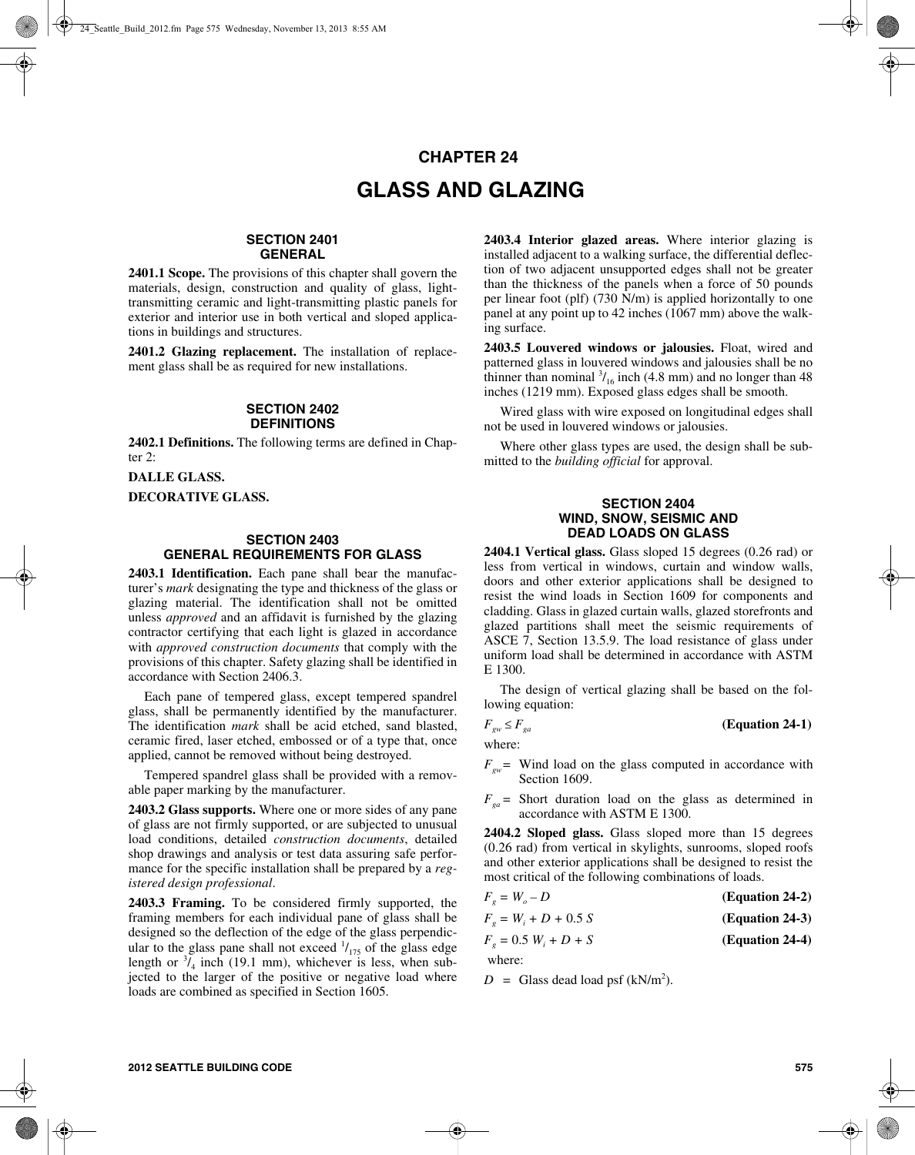# **CHAPTER 24 GLASS AND GLAZING**

# **SECTION 2401 GENERAL**

**2401.1 Scope.** The provisions of this chapter shall govern the materials, design, construction and quality of glass, lighttransmitting ceramic and light-transmitting plastic panels for exterior and interior use in both vertical and sloped applications in buildings and structures.

**2401.2 Glazing replacement.** The installation of replacement glass shall be as required for new installations.

#### **SECTION 2402 DEFINITIONS**

**2402.1 Definitions.** The following terms are defined in Chapter  $2$ :

**DALLE GLASS.**

**DECORATIVE GLASS.**

### **SECTION 2403 GENERAL REQUIREMENTS FOR GLASS**

**2403.1 Identification.** Each pane shall bear the manufacturer's *mark* designating the type and thickness of the glass or glazing material. The identification shall not be omitted unless *approved* and an affidavit is furnished by the glazing contractor certifying that each light is glazed in accordance with *approved construction documents* that comply with the provisions of this chapter. Safety glazing shall be identified in accordance with Section 2406.3.

Each pane of tempered glass, except tempered spandrel glass, shall be permanently identified by the manufacturer. The identification *mark* shall be acid etched, sand blasted, ceramic fired, laser etched, embossed or of a type that, once applied, cannot be removed without being destroyed.

Tempered spandrel glass shall be provided with a removable paper marking by the manufacturer.

**2403.2 Glass supports.** Where one or more sides of any pane of glass are not firmly supported, or are subjected to unusual load conditions, detailed *construction documents*, detailed shop drawings and analysis or test data assuring safe performance for the specific installation shall be prepared by a *registered design professional*.

**2403.3 Framing.** To be considered firmly supported, the framing members for each individual pane of glass shall be designed so the deflection of the edge of the glass perpendicular to the glass pane shall not exceed  $\frac{1}{15}$  of the glass edge length or  $\frac{3}{4}$  inch (19.1 mm), whichever is less, when subjected to the larger of the positive or negative load where loads are combined as specified in Section 1605.

**2403.4 Interior glazed areas.** Where interior glazing is installed adjacent to a walking surface, the differential deflection of two adjacent unsupported edges shall not be greater than the thickness of the panels when a force of 50 pounds per linear foot (plf) (730 N/m) is applied horizontally to one panel at any point up to 42 inches (1067 mm) above the walking surface.

**2403.5 Louvered windows or jalousies.** Float, wired and patterned glass in louvered windows and jalousies shall be no thinner than nominal  $\frac{3}{16}$  inch (4.8 mm) and no longer than 48 inches (1219 mm). Exposed glass edges shall be smooth.

Wired glass with wire exposed on longitudinal edges shall not be used in louvered windows or jalousies.

Where other glass types are used, the design shall be submitted to the *building official* for approval.

#### **SECTION 2404 WIND, SNOW, SEISMIC AND DEAD LOADS ON GLASS**

**2404.1 Vertical glass.** Glass sloped 15 degrees (0.26 rad) or less from vertical in windows, curtain and window walls, doors and other exterior applications shall be designed to resist the wind loads in Section 1609 for components and cladding. Glass in glazed curtain walls, glazed storefronts and glazed partitions shall meet the seismic requirements of ASCE 7, Section 13.5.9. The load resistance of glass under uniform load shall be determined in accordance with ASTM E 1300.

The design of vertical glazing shall be based on the following equation:

$$
F_{\rm gw} \le F_{\rm ga} \tag{Equation 24-1}
$$

where:

 $F_{gw}$  = Wind load on the glass computed in accordance with Section 1609.

 $F_{ga}$  = Short duration load on the glass as determined in accordance with ASTM E 1300.

**2404.2 Sloped glass.** Glass sloped more than 15 degrees (0.26 rad) from vertical in skylights, sunrooms, sloped roofs and other exterior applications shall be designed to resist the most critical of the following combinations of loads.

| $F_{\rho} = W_{\rho} - D$   | (Equation 24-2) |
|-----------------------------|-----------------|
| $F_{p} = W_{i} + D + 0.5 S$ | (Equation 24-3) |
| $F_e = 0.5 W_i + D + S$     | (Equation 24-4) |
|                             |                 |

where:

 $D =$  Glass dead load psf (kN/m<sup>2</sup>).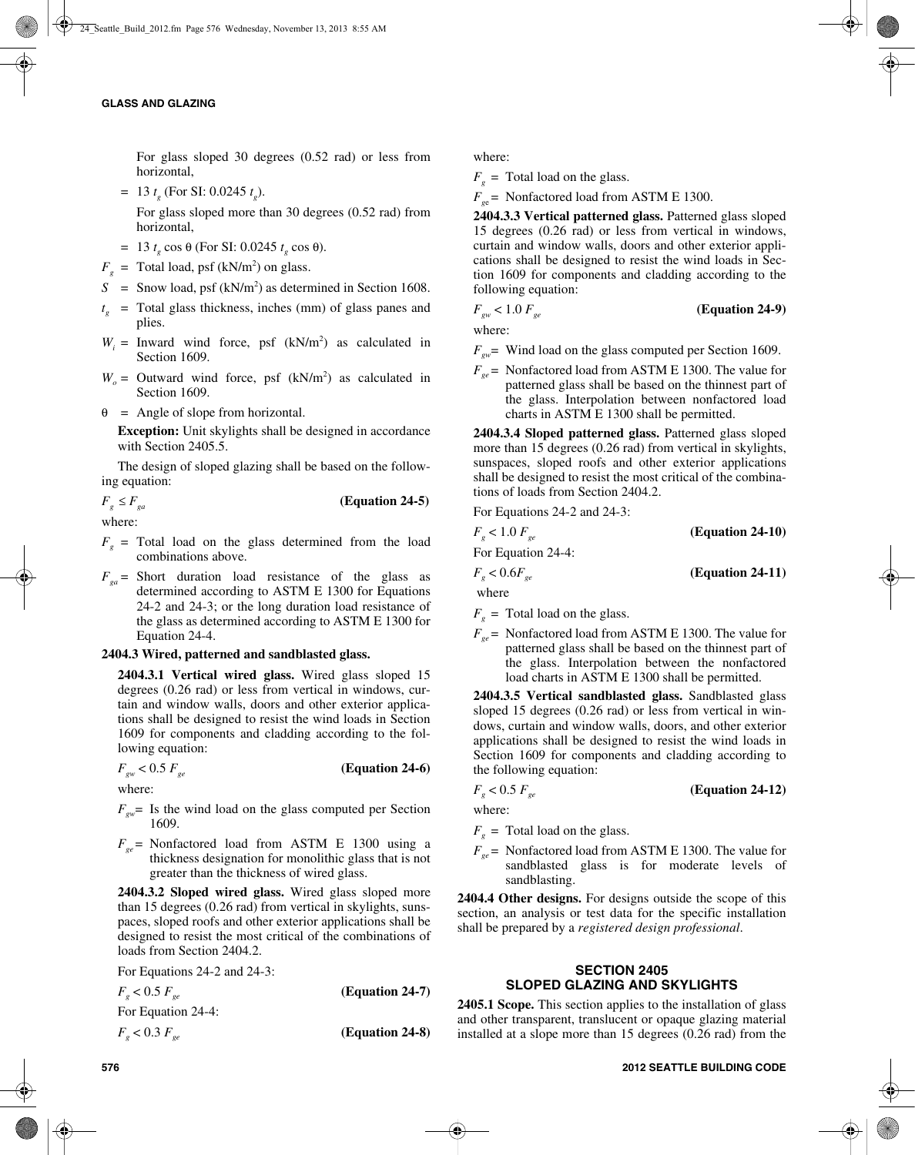For glass sloped 30 degrees (0.52 rad) or less from horizontal,

 $= 13 t_{g}$  (For SI: 0.0245  $t_{g}$ ).

For glass sloped more than 30 degrees (0.52 rad) from horizontal,

- = 13  $t_g$  cos θ (For SI: 0.0245  $t_g$  cos θ).
- $F_g$  = Total load, psf (kN/m<sup>2</sup>) on glass.
- $S =$  Snow load, psf (kN/m<sup>2</sup>) as determined in Section 1608.
- $t<sub>g</sub>$  = Total glass thickness, inches (mm) of glass panes and plies.
- $W_i$  = Inward wind force, psf  $(kN/m^2)$  as calculated in Section 1609.
- $W_o$  = Outward wind force, psf  $(kN/m^2)$  as calculated in Section 1609.
- $\theta$  = Angle of slope from horizontal.

**Exception:** Unit skylights shall be designed in accordance with Section 2405.5.

The design of sloped glazing shall be based on the following equation:

 $F_g \leq F_{ga}$  (Equation 24-5)

where:

- $F<sub>g</sub>$  = Total load on the glass determined from the load combinations above.
- $F_{ga}$  = Short duration load resistance of the glass as determined according to ASTM E 1300 for Equations 24-2 and 24-3; or the long duration load resistance of the glass as determined according to ASTM E 1300 for Equation 24-4.

#### **2404.3 Wired, patterned and sandblasted glass.**

**2404.3.1 Vertical wired glass.** Wired glass sloped 15 degrees (0.26 rad) or less from vertical in windows, curtain and window walls, doors and other exterior applications shall be designed to resist the wind loads in Section 1609 for components and cladding according to the following equation:

 $F_{gw}$  < 0.5  $F_{ge}$  (Equation 24-6)

where:

- $F_{\text{out}}$  Is the wind load on the glass computed per Section 1609.
- $F_{ge}$  = Nonfactored load from ASTM E 1300 using a thickness designation for monolithic glass that is not greater than the thickness of wired glass.

**2404.3.2 Sloped wired glass.** Wired glass sloped more than 15 degrees (0.26 rad) from vertical in skylights, sunspaces, sloped roofs and other exterior applications shall be designed to resist the most critical of the combinations of loads from Section 2404.2.

For Equations 24-2 and 24-3:

 $F_g < 0.5 F_{ge}$  (Equation 24-7) For Equation 24-4:  $F_{g}$  < 0.3  $F_{ge}$  (Equation 24-8) where:

 $F<sub>g</sub>$  = Total load on the glass.

 $F_{gg}$  = Nonfactored load from ASTM E 1300.

**2404.3.3 Vertical patterned glass.** Patterned glass sloped 15 degrees (0.26 rad) or less from vertical in windows, curtain and window walls, doors and other exterior applications shall be designed to resist the wind loads in Section 1609 for components and cladding according to the following equation:

# $F_{gw}$  < 1.0  $F_{ge}$  (Equation 24-9)

where:

 $F_{gw}$  Wind load on the glass computed per Section 1609.

 $F_{gg}$  = Nonfactored load from ASTM E 1300. The value for patterned glass shall be based on the thinnest part of the glass. Interpolation between nonfactored load charts in ASTM E 1300 shall be permitted.

**2404.3.4 Sloped patterned glass.** Patterned glass sloped more than 15 degrees (0.26 rad) from vertical in skylights, sunspaces, sloped roofs and other exterior applications shall be designed to resist the most critical of the combinations of loads from Section 2404.2.

For Equations 24-2 and 24-3:

| $F_{\rho}$ < 1.0 $F_{\rho e}$ | $(Equation 24-10)$ |
|-------------------------------|--------------------|
| For Equation 24-4:            |                    |
| $F_{\rho}$ < 0.6 $F_{\rho e}$ | $(Equation 24-11)$ |
| where                         |                    |

 $F_g$  = Total load on the glass.

 $F_{ge}$  = Nonfactored load from ASTM E 1300. The value for patterned glass shall be based on the thinnest part of the glass. Interpolation between the nonfactored load charts in ASTM E 1300 shall be permitted.

**2404.3.5 Vertical sandblasted glass.** Sandblasted glass sloped 15 degrees (0.26 rad) or less from vertical in windows, curtain and window walls, doors, and other exterior applications shall be designed to resist the wind loads in Section 1609 for components and cladding according to the following equation:

$$
F_g < 0.5 \, F_{ge} \tag{Equation 24-12}
$$

where:

- $F<sub>g</sub>$  = Total load on the glass.
- $F_{ge}$  = Nonfactored load from ASTM E 1300. The value for sandblasted glass is for moderate levels of sandblasting.

**2404.4 Other designs.** For designs outside the scope of this section, an analysis or test data for the specific installation shall be prepared by a *registered design professional*.

# **SECTION 2405 SLOPED GLAZING AND SKYLIGHTS**

**2405.1 Scope.** This section applies to the installation of glass and other transparent, translucent or opaque glazing material installed at a slope more than 15 degrees (0.26 rad) from the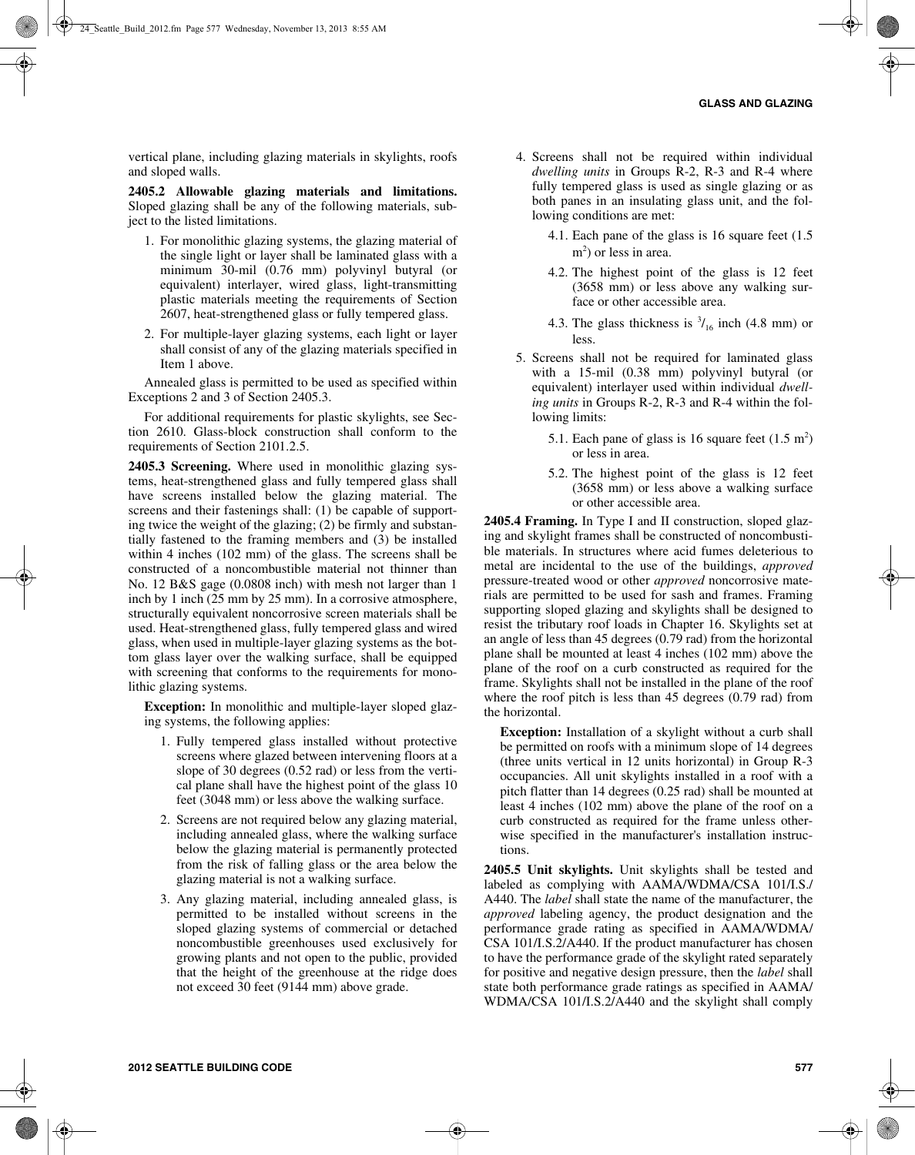vertical plane, including glazing materials in skylights, roofs and sloped walls.

**2405.2 Allowable glazing materials and limitations.** Sloped glazing shall be any of the following materials, subject to the listed limitations.

- 1. For monolithic glazing systems, the glazing material of the single light or layer shall be laminated glass with a minimum 30-mil (0.76 mm) polyvinyl butyral (or equivalent) interlayer, wired glass, light-transmitting plastic materials meeting the requirements of Section 2607, heat-strengthened glass or fully tempered glass.
- 2. For multiple-layer glazing systems, each light or layer shall consist of any of the glazing materials specified in Item 1 above.

Annealed glass is permitted to be used as specified within Exceptions 2 and 3 of Section 2405.3.

For additional requirements for plastic skylights, see Section 2610. Glass-block construction shall conform to the requirements of Section 2101.2.5.

**2405.3 Screening.** Where used in monolithic glazing systems, heat-strengthened glass and fully tempered glass shall have screens installed below the glazing material. The screens and their fastenings shall: (1) be capable of supporting twice the weight of the glazing; (2) be firmly and substantially fastened to the framing members and (3) be installed within 4 inches (102 mm) of the glass. The screens shall be constructed of a noncombustible material not thinner than No. 12 B&S gage (0.0808 inch) with mesh not larger than 1 inch by 1 inch (25 mm by 25 mm). In a corrosive atmosphere, structurally equivalent noncorrosive screen materials shall be used. Heat-strengthened glass, fully tempered glass and wired glass, when used in multiple-layer glazing systems as the bottom glass layer over the walking surface, shall be equipped with screening that conforms to the requirements for monolithic glazing systems.

**Exception:** In monolithic and multiple-layer sloped glazing systems, the following applies:

- 1. Fully tempered glass installed without protective screens where glazed between intervening floors at a slope of 30 degrees (0.52 rad) or less from the vertical plane shall have the highest point of the glass 10 feet (3048 mm) or less above the walking surface.
- 2. Screens are not required below any glazing material, including annealed glass, where the walking surface below the glazing material is permanently protected from the risk of falling glass or the area below the glazing material is not a walking surface.
- 3. Any glazing material, including annealed glass, is permitted to be installed without screens in the sloped glazing systems of commercial or detached noncombustible greenhouses used exclusively for growing plants and not open to the public, provided that the height of the greenhouse at the ridge does not exceed 30 feet (9144 mm) above grade.
- 4. Screens shall not be required within individual *dwelling units* in Groups R-2, R-3 and R-4 where fully tempered glass is used as single glazing or as both panes in an insulating glass unit, and the following conditions are met:
	- 4.1. Each pane of the glass is 16 square feet (1.5 m<sup>2</sup>) or less in area.
	- 4.2. The highest point of the glass is 12 feet (3658 mm) or less above any walking surface or other accessible area.
	- 4.3. The glass thickness is  $\frac{3}{16}$  inch (4.8 mm) or less.
- 5. Screens shall not be required for laminated glass with a 15-mil (0.38 mm) polyvinyl butyral (or equivalent) interlayer used within individual *dwelling units* in Groups R-2, R-3 and R-4 within the following limits:
	- 5.1. Each pane of glass is 16 square feet  $(1.5 \text{ m}^2)$ or less in area.
	- 5.2. The highest point of the glass is 12 feet (3658 mm) or less above a walking surface or other accessible area.

**2405.4 Framing.** In Type I and II construction, sloped glazing and skylight frames shall be constructed of noncombustible materials. In structures where acid fumes deleterious to metal are incidental to the use of the buildings, *approved* pressure-treated wood or other *approved* noncorrosive materials are permitted to be used for sash and frames. Framing supporting sloped glazing and skylights shall be designed to resist the tributary roof loads in Chapter 16. Skylights set at an angle of less than 45 degrees (0.79 rad) from the horizontal plane shall be mounted at least 4 inches (102 mm) above the plane of the roof on a curb constructed as required for the frame. Skylights shall not be installed in the plane of the roof where the roof pitch is less than 45 degrees (0.79 rad) from the horizontal.

**Exception:** Installation of a skylight without a curb shall be permitted on roofs with a minimum slope of 14 degrees (three units vertical in 12 units horizontal) in Group R-3 occupancies. All unit skylights installed in a roof with a pitch flatter than 14 degrees (0.25 rad) shall be mounted at least 4 inches (102 mm) above the plane of the roof on a curb constructed as required for the frame unless otherwise specified in the manufacturer's installation instructions.

**2405.5 Unit skylights.** Unit skylights shall be tested and labeled as complying with AAMA/WDMA/CSA 101/I.S./ A440. The *label* shall state the name of the manufacturer, the *approved* labeling agency, the product designation and the performance grade rating as specified in AAMA/WDMA/ CSA 101/I.S.2/A440. If the product manufacturer has chosen to have the performance grade of the skylight rated separately for positive and negative design pressure, then the *label* shall state both performance grade ratings as specified in AAMA/ WDMA/CSA 101/I.S.2/A440 and the skylight shall comply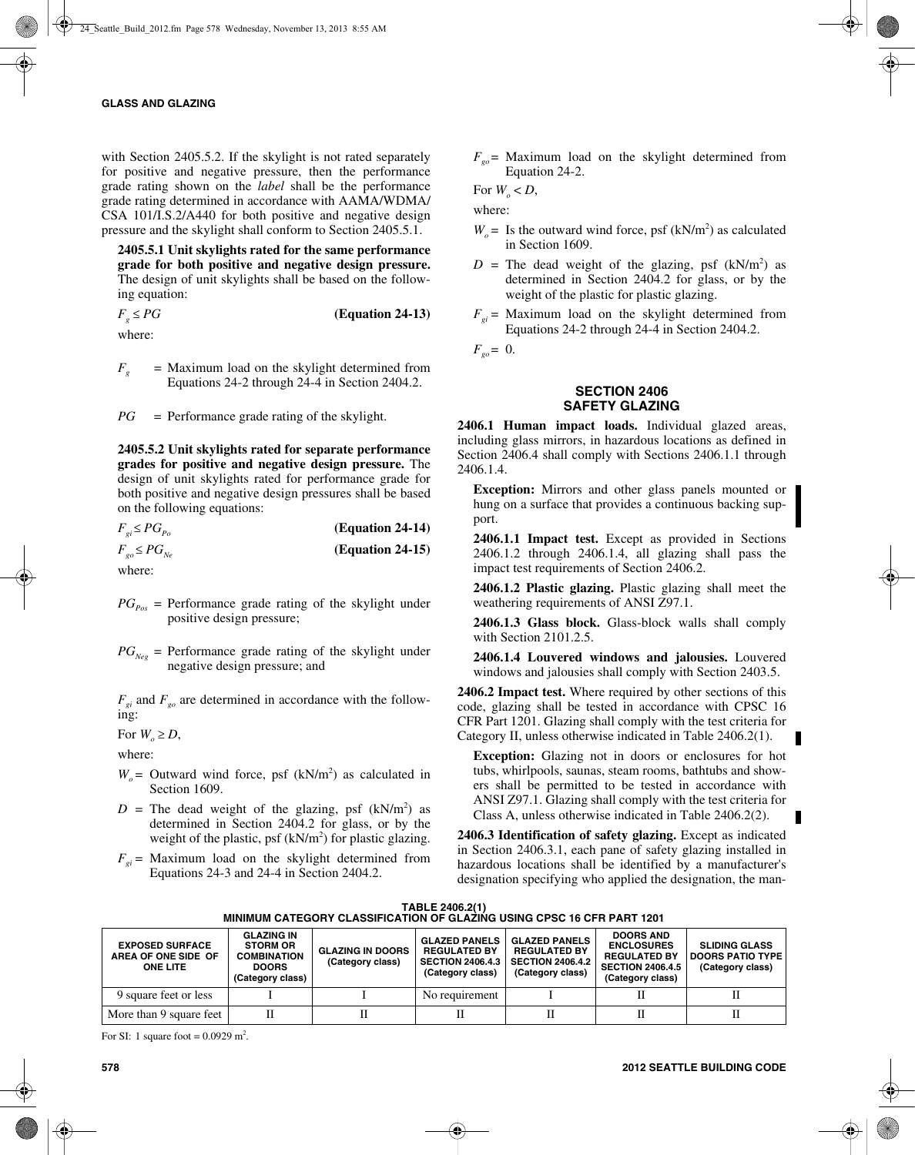with Section 2405.5.2. If the skylight is not rated separately for positive and negative pressure, then the performance grade rating shown on the *label* shall be the performance grade rating determined in accordance with AAMA/WDMA/ CSA 101/I.S.2/A440 for both positive and negative design pressure and the skylight shall conform to Section 2405.5.1.

**2405.5.1 Unit skylights rated for the same performance grade for both positive and negative design pressure.** The design of unit skylights shall be based on the following equation:

 $F<sub>g</sub> \le PG$  **(Equation 24-13)** where:

 $F<sub>g</sub>$  = Maximum load on the skylight determined from Equations 24-2 through 24-4 in Section 2404.2.

*PG* = Performance grade rating of the skylight.

**2405.5.2 Unit skylights rated for separate performance grades for positive and negative design pressure.** The design of unit skylights rated for performance grade for both positive and negative design pressures shall be based on the following equations:

| $F_{qi} \leq PG_{Po}$ | (Equation 24-14)   |
|-----------------------|--------------------|
| $F_{g0} \leq PG_{Ne}$ | $(Equation 24-15)$ |

where:

- $PG_{P_{OS}}$  = Performance grade rating of the skylight under positive design pressure;
- $PG_{Neg}$  = Performance grade rating of the skylight under negative design pressure; and

 $F_{gi}$  and  $F_{go}$  are determined in accordance with the following:

For  $W_e \geq D$ ,

where:

- $W_o$  = Outward wind force, psf (kN/m<sup>2</sup>) as calculated in Section 1609.
- $D =$  The dead weight of the glazing, psf  $(kN/m<sup>2</sup>)$  as determined in Section 2404.2 for glass, or by the weight of the plastic, psf  $(kN/m<sup>2</sup>)$  for plastic glazing.
- $F_{qi}$  = Maximum load on the skylight determined from Equations 24-3 and 24-4 in Section 2404.2.

 $F_{g0}$  = Maximum load on the skylight determined from Equation 24-2.

For  $W_{\circ} < D$ ,

where:

- $W_o$  = Is the outward wind force, psf (kN/m<sup>2</sup>) as calculated in Section 1609.
- $D =$  The dead weight of the glazing, psf  $(kN/m<sup>2</sup>)$  as determined in Section 2404.2 for glass, or by the weight of the plastic for plastic glazing.
- $F_{qi}$  = Maximum load on the skylight determined from Equations 24-2 through 24-4 in Section 2404.2.

 $F_{\varrho o} = 0$ .

### **SECTION 2406 SAFETY GLAZING**

**2406.1 Human impact loads.** Individual glazed areas, including glass mirrors, in hazardous locations as defined in Section 2406.4 shall comply with Sections 2406.1.1 through 2406.1.4.

**Exception:** Mirrors and other glass panels mounted or hung on a surface that provides a continuous backing support.

**2406.1.1 Impact test.** Except as provided in Sections 2406.1.2 through 2406.1.4, all glazing shall pass the impact test requirements of Section 2406.2.

**2406.1.2 Plastic glazing.** Plastic glazing shall meet the weathering requirements of ANSI Z97.1.

**2406.1.3 Glass block.** Glass-block walls shall comply with Section 2101.2.5.

**2406.1.4 Louvered windows and jalousies.** Louvered windows and jalousies shall comply with Section 2403.5.

**2406.2 Impact test.** Where required by other sections of this code, glazing shall be tested in accordance with CPSC 16 CFR Part 1201. Glazing shall comply with the test criteria for Category II, unless otherwise indicated in Table 2406.2(1).

**Exception:** Glazing not in doors or enclosures for hot tubs, whirlpools, saunas, steam rooms, bathtubs and showers shall be permitted to be tested in accordance with ANSI Z97.1. Glazing shall comply with the test criteria for Class A, unless otherwise indicated in Table 2406.2(2).

**2406.3 Identification of safety glazing.** Except as indicated in Section 2406.3.1, each pane of safety glazing installed in hazardous locations shall be identified by a manufacturer's designation specifying who applied the designation, the man-

| TABLE 2406.2(1)                                                        |  |
|------------------------------------------------------------------------|--|
| MINIMUM CATEGORY CLASSIFICATION OF GLAZING USING CPSC 16 CFR PART 1201 |  |

| <b>EXPOSED SURFACE</b><br>AREA OF ONE SIDE OF<br><b>ONE LITE</b> | <b>GLAZING IN</b><br><b>STORM OR</b><br><b>COMBINATION</b><br><b>DOORS</b><br>(Category class) | <b>GLAZING IN DOORS</b><br>(Category class) | <b>GLAZED PANELS</b><br><b>REGULATED BY</b><br><b>SECTION 2406.4.3</b><br>(Category class) | <b>GLAZED PANELS</b><br><b>REGULATED BY</b><br><b>SECTION 2406.4.2</b><br>(Category class) | <b>DOORS AND</b><br><b>ENCLOSURES</b><br><b>REGULATED BY</b><br><b>SECTION 2406.4.5</b><br>(Category class) | <b>SLIDING GLASS</b><br><b>DOORS PATIO TYPE</b><br>(Category class) |
|------------------------------------------------------------------|------------------------------------------------------------------------------------------------|---------------------------------------------|--------------------------------------------------------------------------------------------|--------------------------------------------------------------------------------------------|-------------------------------------------------------------------------------------------------------------|---------------------------------------------------------------------|
| 9 square feet or less                                            |                                                                                                |                                             | No requirement                                                                             |                                                                                            |                                                                                                             |                                                                     |
| More than 9 square feet                                          |                                                                                                | п                                           |                                                                                            |                                                                                            |                                                                                                             |                                                                     |

For SI: 1 square foot =  $0.0929$  m<sup>2</sup>.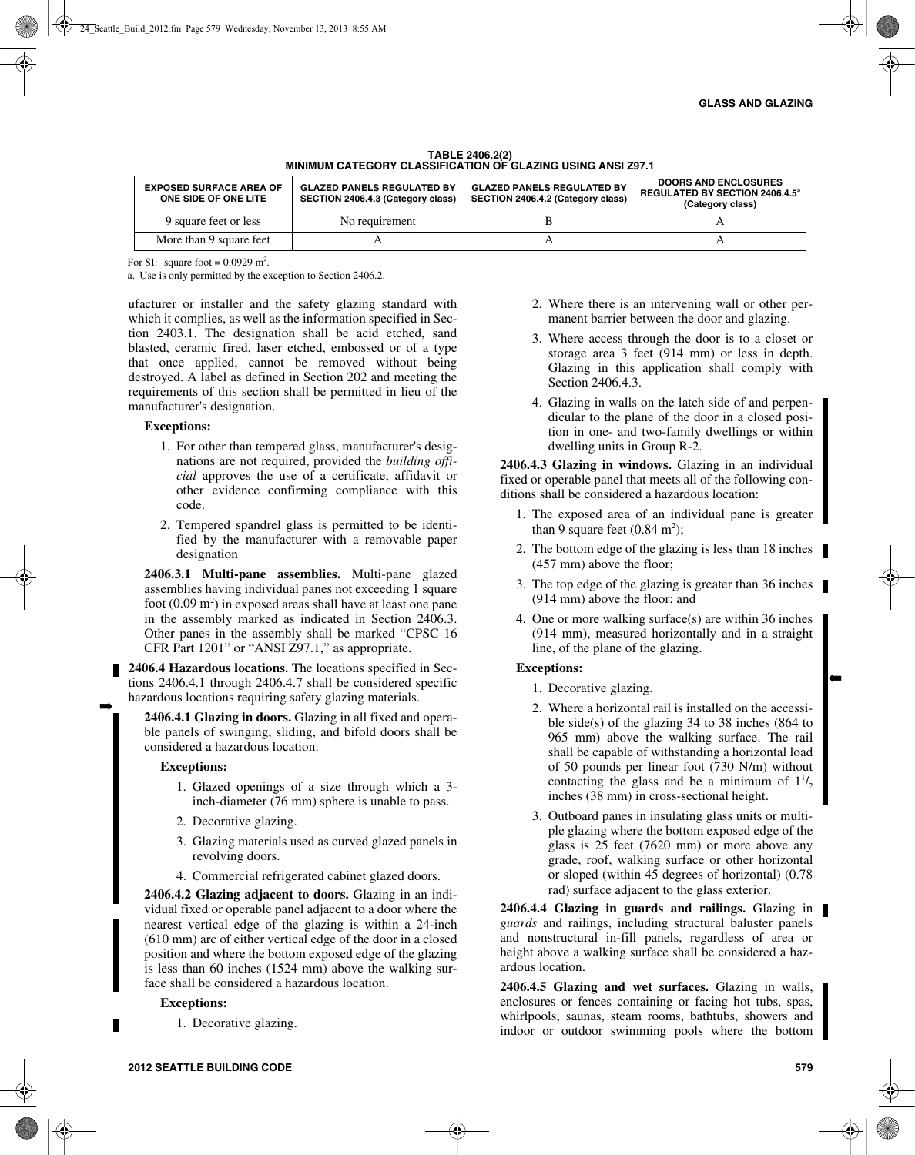| <b>EXPOSED SURFACE AREA OF</b><br>ONE SIDE OF ONE LITE | <b>GLAZED PANELS REGULATED BY</b><br>SECTION 2406.4.3 (Category class) | <b>GLAZED PANELS REGULATED BY</b><br>SECTION 2406.4.2 (Category class) | <b>DOORS AND ENCLOSURES</b><br><b>REGULATED BY SECTION 2406.4.5<sup>a</sup></b><br>(Category class) |
|--------------------------------------------------------|------------------------------------------------------------------------|------------------------------------------------------------------------|-----------------------------------------------------------------------------------------------------|
| 9 square feet or less                                  | No requirement                                                         |                                                                        |                                                                                                     |
| More than 9 square feet                                |                                                                        |                                                                        |                                                                                                     |

#### **TABLE 2406.2(2) MINIMUM CATEGORY CLASSIFICATION OF GLAZING USING ANSI Z97.1**

For SI: square foot =  $0.0929$  m<sup>2</sup>.

a. Use is only permitted by the exception to Section 2406.2.

ufacturer or installer and the safety glazing standard with which it complies, as well as the information specified in Section 2403.1. The designation shall be acid etched, sand blasted, ceramic fired, laser etched, embossed or of a type that once applied, cannot be removed without being destroyed. A label as defined in Section 202 and meeting the requirements of this section shall be permitted in lieu of the manufacturer's designation.

#### **Exceptions:**

- 1. For other than tempered glass, manufacturer's designations are not required, provided the *building official* approves the use of a certificate, affidavit or other evidence confirming compliance with this code.
- 2. Tempered spandrel glass is permitted to be identified by the manufacturer with a removable paper designation

**2406.3.1 Multi-pane assemblies.** Multi-pane glazed assemblies having individual panes not exceeding 1 square foot  $(0.09 \text{ m}^2)$  in exposed areas shall have at least one pane in the assembly marked as indicated in Section 2406.3. Other panes in the assembly shall be marked "CPSC 16 CFR Part 1201" or "ANSI Z97.1," as appropriate.

**2406.4 Hazardous locations.** The locations specified in Sections 2406.4.1 through 2406.4.7 shall be considered specific hazardous locations requiring safety glazing materials.

**2406.4.1 Glazing in doors.** Glazing in all fixed and operable panels of swinging, sliding, and bifold doors shall be considered a hazardous location.

#### **Exceptions:**

➡

- 1. Glazed openings of a size through which a 3 inch-diameter (76 mm) sphere is unable to pass.
- 2. Decorative glazing.
- 3. Glazing materials used as curved glazed panels in revolving doors.
- 4. Commercial refrigerated cabinet glazed doors.

**2406.4.2 Glazing adjacent to doors.** Glazing in an individual fixed or operable panel adjacent to a door where the nearest vertical edge of the glazing is within a 24-inch (610 mm) arc of either vertical edge of the door in a closed position and where the bottom exposed edge of the glazing is less than 60 inches (1524 mm) above the walking surface shall be considered a hazardous location.

# **Exceptions:**

1. Decorative glazing.

- 2. Where there is an intervening wall or other permanent barrier between the door and glazing.
- 3. Where access through the door is to a closet or storage area 3 feet (914 mm) or less in depth. Glazing in this application shall comply with Section 2406.4.3.
- 4. Glazing in walls on the latch side of and perpendicular to the plane of the door in a closed position in one- and two-family dwellings or within dwelling units in Group R-2.

**2406.4.3 Glazing in windows.** Glazing in an individual fixed or operable panel that meets all of the following conditions shall be considered a hazardous location:

- 1. The exposed area of an individual pane is greater than 9 square feet  $(0.84 \text{ m}^2)$ ;
- 2. The bottom edge of the glazing is less than 18 inches (457 mm) above the floor;
- 3. The top edge of the glazing is greater than 36 inches (914 mm) above the floor; and
- 4. One or more walking surface(s) are within 36 inches (914 mm), measured horizontally and in a straight line, of the plane of the glazing.

# **Exceptions:**

- 1. Decorative glazing.
- 2. Where a horizontal rail is installed on the accessible side(s) of the glazing 34 to 38 inches (864 to 965 mm) above the walking surface. The rail shall be capable of withstanding a horizontal load of 50 pounds per linear foot (730 N/m) without contacting the glass and be a minimum of  $1^{1/2}$ inches (38 mm) in cross-sectional height.
- 3. Outboard panes in insulating glass units or multiple glazing where the bottom exposed edge of the glass is 25 feet (7620 mm) or more above any grade, roof, walking surface or other horizontal or sloped (within 45 degrees of horizontal) (0.78 rad) surface adjacent to the glass exterior.

**2406.4.4 Glazing in guards and railings.** Glazing in *guards* and railings, including structural baluster panels and nonstructural in-fill panels, regardless of area or height above a walking surface shall be considered a hazardous location.

**2406.4.5 Glazing and wet surfaces.** Glazing in walls, enclosures or fences containing or facing hot tubs, spas, whirlpools, saunas, steam rooms, bathtubs, showers and indoor or outdoor swimming pools where the bottom

➡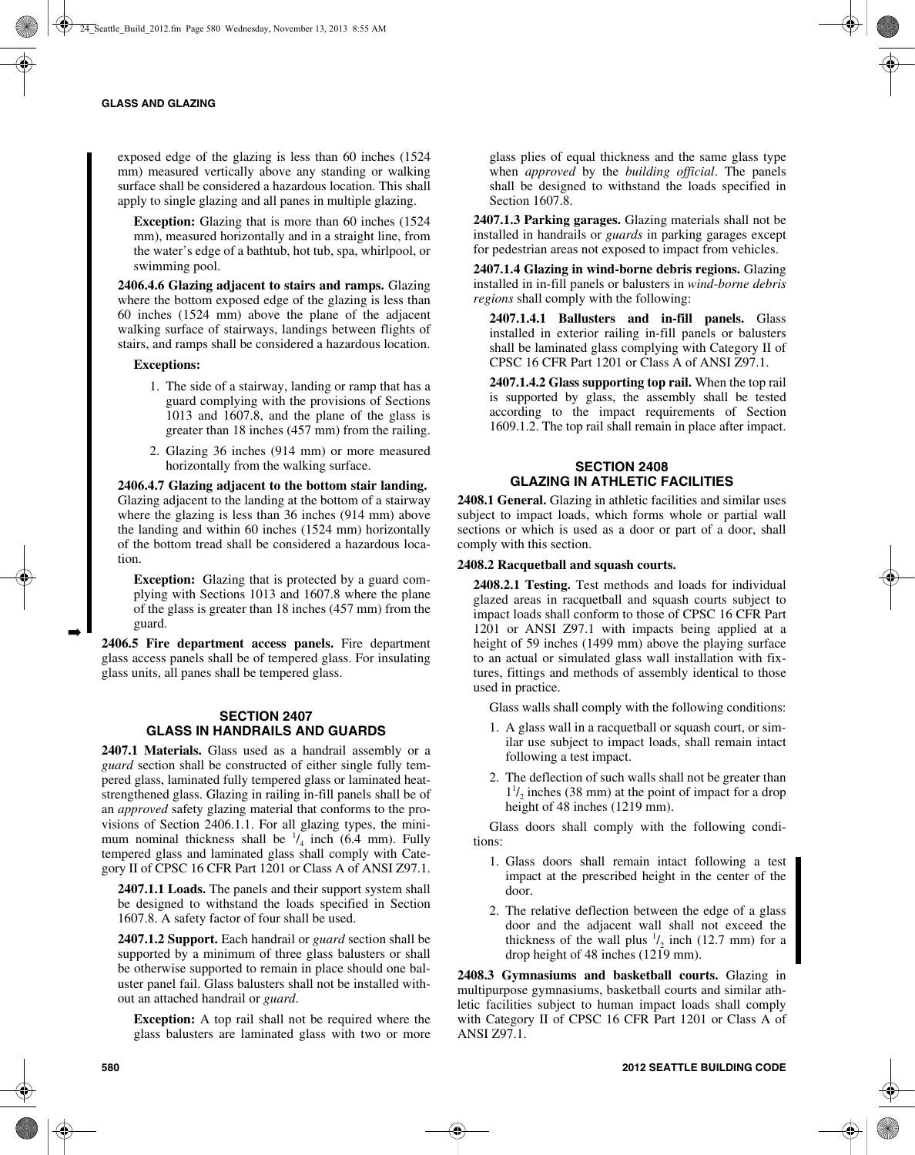exposed edge of the glazing is less than 60 inches (1524 mm) measured vertically above any standing or walking surface shall be considered a hazardous location. This shall apply to single glazing and all panes in multiple glazing.

**Exception:** Glazing that is more than 60 inches (1524 mm), measured horizontally and in a straight line, from the water's edge of a bathtub, hot tub, spa, whirlpool, or swimming pool.

**2406.4.6 Glazing adjacent to stairs and ramps.** Glazing where the bottom exposed edge of the glazing is less than 60 inches (1524 mm) above the plane of the adjacent walking surface of stairways, landings between flights of stairs, and ramps shall be considered a hazardous location.

#### **Exceptions:**

- 1. The side of a stairway, landing or ramp that has a guard complying with the provisions of Sections 1013 and 1607.8, and the plane of the glass is greater than 18 inches (457 mm) from the railing.
- 2. Glazing 36 inches (914 mm) or more measured horizontally from the walking surface.

**2406.4.7 Glazing adjacent to the bottom stair landing.** Glazing adjacent to the landing at the bottom of a stairway where the glazing is less than 36 inches (914 mm) above the landing and within 60 inches (1524 mm) horizontally of the bottom tread shall be considered a hazardous location.

**Exception:** Glazing that is protected by a guard complying with Sections 1013 and 1607.8 where the plane of the glass is greater than 18 inches (457 mm) from the guard.

**2406.5 Fire department access panels.** Fire department glass access panels shall be of tempered glass. For insulating glass units, all panes shall be tempered glass.

# **SECTION 2407 GLASS IN HANDRAILS AND GUARDS**

**2407.1 Materials.** Glass used as a handrail assembly or a *guard* section shall be constructed of either single fully tempered glass, laminated fully tempered glass or laminated heatstrengthened glass. Glazing in railing in-fill panels shall be of an *approved* safety glazing material that conforms to the provisions of Section 2406.1.1. For all glazing types, the minimum nominal thickness shall be  $\frac{1}{4}$  inch (6.4 mm). Fully tempered glass and laminated glass shall comply with Category II of CPSC 16 CFR Part 1201 or Class A of ANSI Z97.1.

**2407.1.1 Loads.** The panels and their support system shall be designed to withstand the loads specified in Section 1607.8. A safety factor of four shall be used.

**2407.1.2 Support.** Each handrail or *guard* section shall be supported by a minimum of three glass balusters or shall be otherwise supported to remain in place should one baluster panel fail. Glass balusters shall not be installed without an attached handrail or *guard*.

**Exception:** A top rail shall not be required where the glass balusters are laminated glass with two or more glass plies of equal thickness and the same glass type when *approved* by the *building official*. The panels shall be designed to withstand the loads specified in Section 1607.8.

**2407.1.3 Parking garages.** Glazing materials shall not be installed in handrails or *guards* in parking garages except for pedestrian areas not exposed to impact from vehicles.

**2407.1.4 Glazing in wind-borne debris regions.** Glazing installed in in-fill panels or balusters in *wind-borne debris regions* shall comply with the following:

**2407.1.4.1 Ballusters and in-fill panels.** Glass installed in exterior railing in-fill panels or balusters shall be laminated glass complying with Category II of CPSC 16 CFR Part 1201 or Class A of ANSI Z97.1.

**2407.1.4.2 Glass supporting top rail.** When the top rail is supported by glass, the assembly shall be tested according to the impact requirements of Section 1609.1.2. The top rail shall remain in place after impact.

# **SECTION 2408 GLAZING IN ATHLETIC FACILITIES**

**2408.1 General.** Glazing in athletic facilities and similar uses subject to impact loads, which forms whole or partial wall sections or which is used as a door or part of a door, shall comply with this section.

#### **2408.2 Racquetball and squash courts.**

**2408.2.1 Testing.** Test methods and loads for individual glazed areas in racquetball and squash courts subject to impact loads shall conform to those of CPSC 16 CFR Part 1201 or ANSI Z97.1 with impacts being applied at a height of 59 inches (1499 mm) above the playing surface to an actual or simulated glass wall installation with fixtures, fittings and methods of assembly identical to those used in practice.

Glass walls shall comply with the following conditions:

- 1. A glass wall in a racquetball or squash court, or similar use subject to impact loads, shall remain intact following a test impact.
- 2. The deflection of such walls shall not be greater than  $1<sup>1</sup>$ <sub>2</sub> inches (38 mm) at the point of impact for a drop height of 48 inches (1219 mm).

Glass doors shall comply with the following conditions:

- 1. Glass doors shall remain intact following a test impact at the prescribed height in the center of the door.
- 2. The relative deflection between the edge of a glass door and the adjacent wall shall not exceed the thickness of the wall plus  $\frac{1}{2}$  inch (12.7 mm) for a drop height of 48 inches (1219 mm).

**2408.3 Gymnasiums and basketball courts.** Glazing in multipurpose gymnasiums, basketball courts and similar athletic facilities subject to human impact loads shall comply with Category II of CPSC 16 CFR Part 1201 or Class A of ANSI Z97.1.

➡